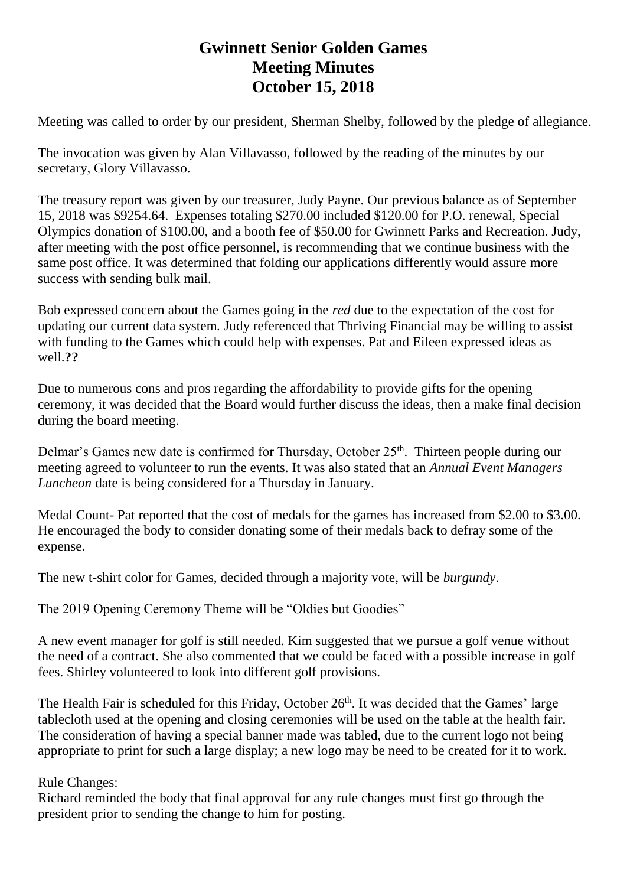## **Gwinnett Senior Golden Games Meeting Minutes October 15, 2018**

Meeting was called to order by our president, Sherman Shelby, followed by the pledge of allegiance.

The invocation was given by Alan Villavasso, followed by the reading of the minutes by our secretary, Glory Villavasso.

The treasury report was given by our treasurer, Judy Payne. Our previous balance as of September 15, 2018 was \$9254.64. Expenses totaling \$270.00 included \$120.00 for P.O. renewal, Special Olympics donation of \$100.00, and a booth fee of \$50.00 for Gwinnett Parks and Recreation. Judy, after meeting with the post office personnel, is recommending that we continue business with the same post office. It was determined that folding our applications differently would assure more success with sending bulk mail.

Bob expressed concern about the Games going in the *red* due to the expectation of the cost for updating our current data system*.* Judy referenced that Thriving Financial may be willing to assist with funding to the Games which could help with expenses. Pat and Eileen expressed ideas as well.**??**

Due to numerous cons and pros regarding the affordability to provide gifts for the opening ceremony, it was decided that the Board would further discuss the ideas, then a make final decision during the board meeting.

Delmar's Games new date is confirmed for Thursday, October 25<sup>th</sup>. Thirteen people during our meeting agreed to volunteer to run the events. It was also stated that an *Annual Event Managers Luncheon* date is being considered for a Thursday in January.

Medal Count- Pat reported that the cost of medals for the games has increased from \$2.00 to \$3.00. He encouraged the body to consider donating some of their medals back to defray some of the expense.

The new t-shirt color for Games, decided through a majority vote, will be *burgundy*.

The 2019 Opening Ceremony Theme will be "Oldies but Goodies"

A new event manager for golf is still needed. Kim suggested that we pursue a golf venue without the need of a contract. She also commented that we could be faced with a possible increase in golf fees. Shirley volunteered to look into different golf provisions.

The Health Fair is scheduled for this Friday, October 26<sup>th</sup>. It was decided that the Games' large tablecloth used at the opening and closing ceremonies will be used on the table at the health fair. The consideration of having a special banner made was tabled, due to the current logo not being appropriate to print for such a large display; a new logo may be need to be created for it to work.

## Rule Changes:

Richard reminded the body that final approval for any rule changes must first go through the president prior to sending the change to him for posting.